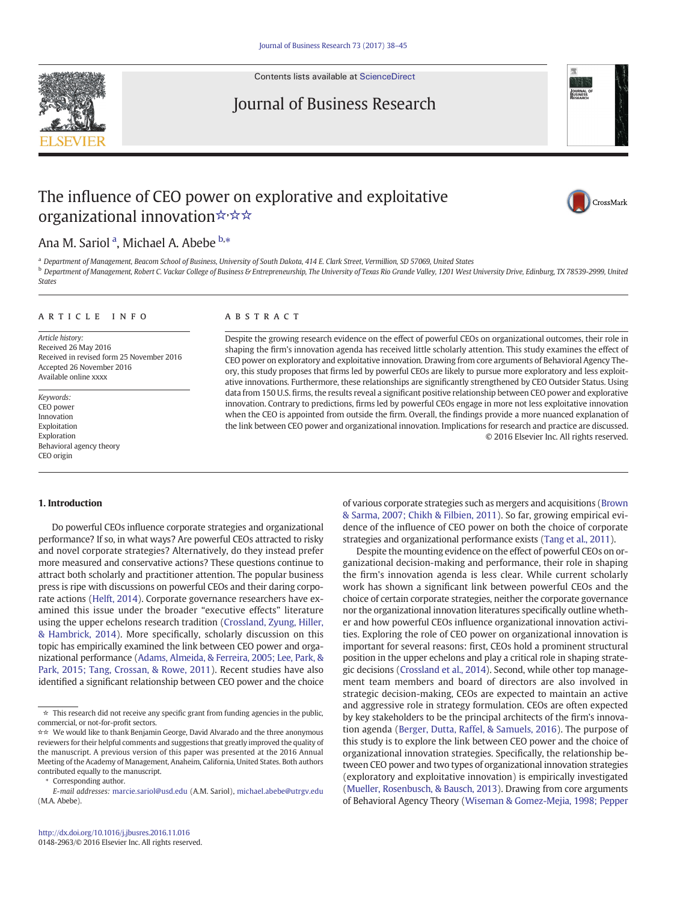

Contents lists available at [ScienceDirect](http://www.sciencedirect.com/science/journal/01482963)

# Journal of Business Research



# The influence of CEO power on explorative and exploitative organizational innovation☆☆☆



## Ana M. Sariol <sup>a</sup>, Michael A. Abebe <sup>b,</sup>\*

a Department of Management, Beacom School of Business, University of South Dakota, 414 E. Clark Street, Vermillion, SD 57069, United States <sup>b</sup> Department of Management, Robert C. Vackar College of Business & Entrepreneurship, The University of Texas Rio Grande Valley, 1201 West University Drive, Edinburg, TX 78539-2999, United States

#### article info abstract

Article history: Received 26 May 2016 Received in revised form 25 November 2016 Accepted 26 November 2016 Available online xxxx

Keywords: CEO power Innovation **Exploitation** Exploration Behavioral agency theory CEO origin

Despite the growing research evidence on the effect of powerful CEOs on organizational outcomes, their role in shaping the firm's innovation agenda has received little scholarly attention. This study examines the effect of CEO power on exploratory and exploitative innovation. Drawing from core arguments of Behavioral Agency Theory, this study proposes that firms led by powerful CEOs are likely to pursue more exploratory and less exploitative innovations. Furthermore, these relationships are significantly strengthened by CEO Outsider Status. Using data from 150 U.S. firms, the results reveal a significant positive relationship between CEO power and explorative innovation. Contrary to predictions, firms led by powerful CEOs engage in more not less exploitative innovation when the CEO is appointed from outside the firm. Overall, the findings provide a more nuanced explanation of the link between CEO power and organizational innovation. Implications for research and practice are discussed. © 2016 Elsevier Inc. All rights reserved.

#### 1. Introduction

Do powerful CEOs influence corporate strategies and organizational performance? If so, in what ways? Are powerful CEOs attracted to risky and novel corporate strategies? Alternatively, do they instead prefer more measured and conservative actions? These questions continue to attract both scholarly and practitioner attention. The popular business press is ripe with discussions on powerful CEOs and their daring corporate actions [\(Helft, 2014](#page-7-0)). Corporate governance researchers have examined this issue under the broader "executive effects" literature using the upper echelons research tradition [\(Crossland, Zyung, Hiller,](#page-7-0) [& Hambrick, 2014](#page-7-0)). More specifically, scholarly discussion on this topic has empirically examined the link between CEO power and organizational performance ([Adams, Almeida, & Ferreira, 2005; Lee, Park, &](#page-6-0) [Park, 2015; Tang, Crossan, & Rowe, 2011\)](#page-6-0). Recent studies have also identified a significant relationship between CEO power and the choice

Corresponding author.

of various corporate strategies such as mergers and acquisitions [\(Brown](#page-7-0) [& Sarma, 2007; Chikh & Filbien, 2011](#page-7-0)). So far, growing empirical evidence of the influence of CEO power on both the choice of corporate strategies and organizational performance exists [\(Tang et al., 2011](#page-7-0)).

Despite the mounting evidence on the effect of powerful CEOs on organizational decision-making and performance, their role in shaping the firm's innovation agenda is less clear. While current scholarly work has shown a significant link between powerful CEOs and the choice of certain corporate strategies, neither the corporate governance nor the organizational innovation literatures specifically outline whether and how powerful CEOs influence organizational innovation activities. Exploring the role of CEO power on organizational innovation is important for several reasons: first, CEOs hold a prominent structural position in the upper echelons and play a critical role in shaping strategic decisions [\(Crossland et al., 2014\)](#page-7-0). Second, while other top management team members and board of directors are also involved in strategic decision-making, CEOs are expected to maintain an active and aggressive role in strategy formulation. CEOs are often expected by key stakeholders to be the principal architects of the firm's innovation agenda ([Berger, Dutta, Raffel, & Samuels, 2016\)](#page-6-0). The purpose of this study is to explore the link between CEO power and the choice of organizational innovation strategies. Specifically, the relationship between CEO power and two types of organizational innovation strategies (exploratory and exploitative innovation) is empirically investigated [\(Mueller, Rosenbusch, & Bausch, 2013](#page-7-0)). Drawing from core arguments of Behavioral Agency Theory [\(Wiseman & Gomez-Mejia, 1998; Pepper](#page-7-0)

 $\star$  This research did not receive any specific grant from funding agencies in the public, commercial, or not-for-profit sectors.

<sup>☆☆</sup> We would like to thank Benjamin George, David Alvarado and the three anonymous reviewers for their helpful comments and suggestions that greatly improved the quality of the manuscript. A previous version of this paper was presented at the 2016 Annual Meeting of the Academy of Management, Anaheim, California, United States. Both authors contributed equally to the manuscript.

E-mail addresses: marcie.sariol@usd.edu (A.M. Sariol), [michael.abebe@utrgv.edu](mailto:michael.abebe@utrgv.edu) (M.A. Abebe).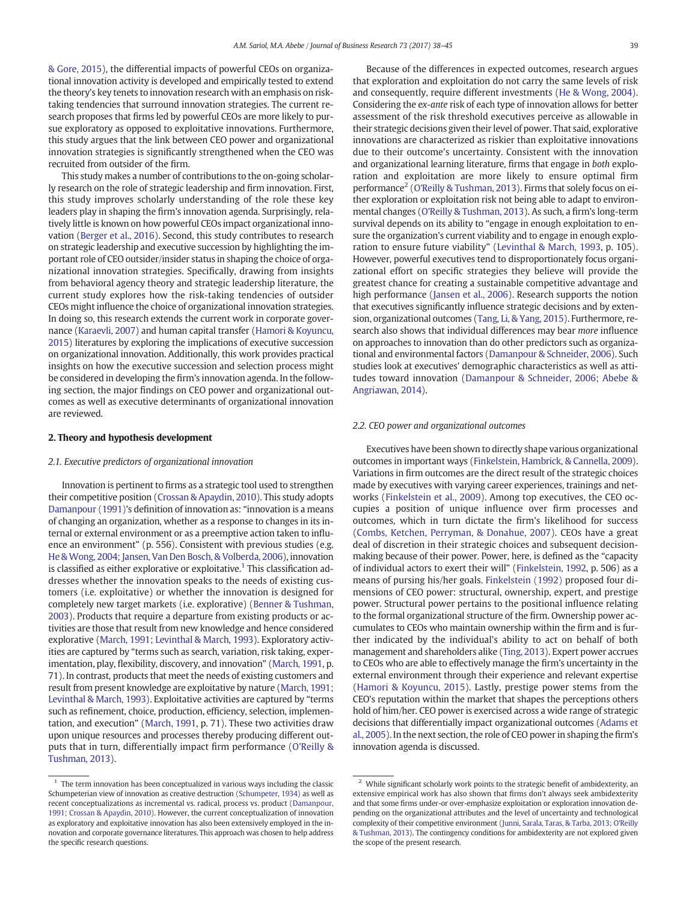[& Gore, 2015\)](#page-7-0), the differential impacts of powerful CEOs on organizational innovation activity is developed and empirically tested to extend the theory's key tenets to innovation research with an emphasis on risktaking tendencies that surround innovation strategies. The current research proposes that firms led by powerful CEOs are more likely to pursue exploratory as opposed to exploitative innovations. Furthermore, this study argues that the link between CEO power and organizational innovation strategies is significantly strengthened when the CEO was recruited from outsider of the firm.

This study makes a number of contributions to the on-going scholarly research on the role of strategic leadership and firm innovation. First, this study improves scholarly understanding of the role these key leaders play in shaping the firm's innovation agenda. Surprisingly, relatively little is known on how powerful CEOs impact organizational innovation ([Berger et al., 2016\)](#page-6-0). Second, this study contributes to research on strategic leadership and executive succession by highlighting the important role of CEO outsider/insider status in shaping the choice of organizational innovation strategies. Specifically, drawing from insights from behavioral agency theory and strategic leadership literature, the current study explores how the risk-taking tendencies of outsider CEOs might influence the choice of organizational innovation strategies. In doing so, this research extends the current work in corporate governance [\(Karaevli, 2007](#page-7-0)) and human capital transfer ([Hamori & Koyuncu,](#page-7-0) [2015](#page-7-0)) literatures by exploring the implications of executive succession on organizational innovation. Additionally, this work provides practical insights on how the executive succession and selection process might be considered in developing the firm's innovation agenda. In the following section, the major findings on CEO power and organizational outcomes as well as executive determinants of organizational innovation are reviewed.

#### 2. Theory and hypothesis development

#### 2.1. Executive predictors of organizational innovation

Innovation is pertinent to firms as a strategic tool used to strengthen their competitive position ([Crossan & Apaydin, 2010](#page-7-0)). This study adopts [Damanpour \(1991\)](#page-7-0)'s definition of innovation as: "innovation is a means of changing an organization, whether as a response to changes in its internal or external environment or as a preemptive action taken to influence an environment" (p. 556). Consistent with previous studies (e.g. [He & Wong, 2004; Jansen, Van Den Bosch, & Volberda, 2006\)](#page-7-0), innovation is classified as either explorative or exploitative.<sup>1</sup> This classification addresses whether the innovation speaks to the needs of existing customers (i.e. exploitative) or whether the innovation is designed for completely new target markets (i.e. explorative) [\(Benner & Tushman,](#page-6-0) [2003](#page-6-0)). Products that require a departure from existing products or activities are those that result from new knowledge and hence considered explorative ([March, 1991; Levinthal & March, 1993\)](#page-7-0). Exploratory activities are captured by "terms such as search, variation, risk taking, experimentation, play, flexibility, discovery, and innovation" ([March, 1991,](#page-7-0) p. 71). In contrast, products that meet the needs of existing customers and result from present knowledge are exploitative by nature [\(March, 1991;](#page-7-0) [Levinthal & March, 1993](#page-7-0)). Exploitative activities are captured by "terms such as refinement, choice, production, efficiency, selection, implementation, and execution" ([March, 1991,](#page-7-0) p. 71). These two activities draw upon unique resources and processes thereby producing different outputs that in turn, differentially impact firm performance [\(O'Reilly &](#page-7-0) [Tushman, 2013](#page-7-0)).

Because of the differences in expected outcomes, research argues that exploration and exploitation do not carry the same levels of risk and consequently, require different investments ([He & Wong, 2004](#page-7-0)). Considering the ex-ante risk of each type of innovation allows for better assessment of the risk threshold executives perceive as allowable in their strategic decisions given their level of power. That said, explorative innovations are characterized as riskier than exploitative innovations due to their outcome's uncertainty. Consistent with the innovation and organizational learning literature, firms that engage in both exploration and exploitation are more likely to ensure optimal firm  $performance<sup>2</sup>$  [\(O'Reilly & Tushman, 2013](#page-7-0)). Firms that solely focus on either exploration or exploitation risk not being able to adapt to environmental changes [\(O'Reilly & Tushman, 2013](#page-7-0)). As such, a firm's long-term survival depends on its ability to "engage in enough exploitation to ensure the organization's current viability and to engage in enough exploration to ensure future viability" [\(Levinthal & March, 1993,](#page-7-0) p. 105). However, powerful executives tend to disproportionately focus organizational effort on specific strategies they believe will provide the greatest chance for creating a sustainable competitive advantage and high performance [\(Jansen et al., 2006](#page-7-0)). Research supports the notion that executives significantly influence strategic decisions and by extension, organizational outcomes [\(Tang, Li, & Yang, 2015](#page-7-0)). Furthermore, research also shows that individual differences may bear more influence on approaches to innovation than do other predictors such as organizational and environmental factors [\(Damanpour & Schneider, 2006\)](#page-7-0). Such studies look at executives' demographic characteristics as well as attitudes toward innovation ([Damanpour & Schneider, 2006; Abebe &](#page-7-0) [Angriawan, 2014\)](#page-7-0).

#### 2.2. CEO power and organizational outcomes

Executives have been shown to directly shape various organizational outcomes in important ways ([Finkelstein, Hambrick, & Cannella, 2009](#page-7-0)). Variations in firm outcomes are the direct result of the strategic choices made by executives with varying career experiences, trainings and networks [\(Finkelstein et al., 2009](#page-7-0)). Among top executives, the CEO occupies a position of unique influence over firm processes and outcomes, which in turn dictate the firm's likelihood for success [\(Combs, Ketchen, Perryman, & Donahue, 2007\)](#page-7-0). CEOs have a great deal of discretion in their strategic choices and subsequent decisionmaking because of their power. Power, here, is defined as the "capacity of individual actors to exert their will" ([Finkelstein, 1992,](#page-7-0) p. 506) as a means of pursing his/her goals. [Finkelstein \(1992\)](#page-7-0) proposed four dimensions of CEO power: structural, ownership, expert, and prestige power. Structural power pertains to the positional influence relating to the formal organizational structure of the firm. Ownership power accumulates to CEOs who maintain ownership within the firm and is further indicated by the individual's ability to act on behalf of both management and shareholders alike ([Ting, 2013](#page-7-0)). Expert power accrues to CEOs who are able to effectively manage the firm's uncertainty in the external environment through their experience and relevant expertise [\(Hamori & Koyuncu, 2015](#page-7-0)). Lastly, prestige power stems from the CEO's reputation within the market that shapes the perceptions others hold of him/her. CEO power is exercised across a wide range of strategic decisions that differentially impact organizational outcomes [\(Adams et](#page-6-0) [al., 2005](#page-6-0)). In the next section, the role of CEO power in shaping the firm's innovation agenda is discussed.

 $1$  The term innovation has been conceptualized in various ways including the classic Schumpeterian view of innovation as creative destruction [\(Schumpeter, 1934\)](#page-7-0) as well as recent conceptualizations as incremental vs. radical, process vs. product ([Damanpour,](#page-7-0) [1991; Crossan & Apaydin, 2010\)](#page-7-0). However, the current conceptualization of innovation as exploratory and exploitative innovation has also been extensively employed in the innovation and corporate governance literatures. This approach was chosen to help address the specific research questions.

 $2$  While significant scholarly work points to the strategic benefit of ambidexterity, an extensive empirical work has also shown that firms don't always seek ambidexterity and that some firms under-or over-emphasize exploitation or exploration innovation depending on the organizational attributes and the level of uncertainty and technological complexity of their competitive environment [\(Junni, Sarala, Taras, & Tarba, 2013; O'Reilly](#page-7-0) [& Tushman, 2013](#page-7-0)). The contingency conditions for ambidexterity are not explored given the scope of the present research.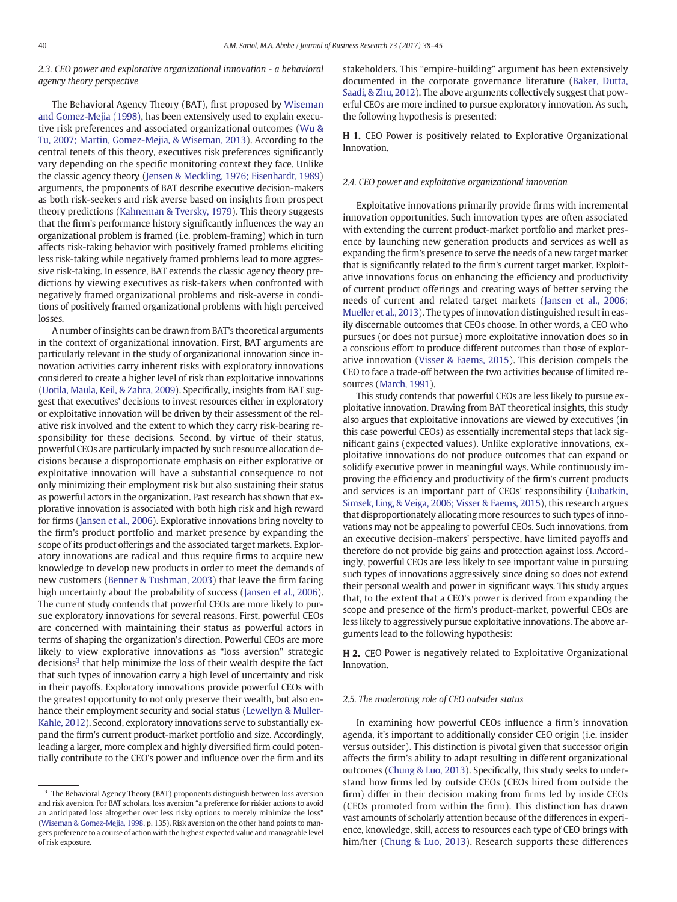<span id="page-2-0"></span>2.3. CEO power and explorative organizational innovation - a behavioral agency theory perspective

The Behavioral Agency Theory (BAT), first proposed by [Wiseman](#page-7-0) [and Gomez-Mejia \(1998\)](#page-7-0), has been extensively used to explain executive risk preferences and associated organizational outcomes ([Wu &](#page-7-0) [Tu, 2007; Martin, Gomez-Mejia, & Wiseman, 2013\)](#page-7-0). According to the central tenets of this theory, executives risk preferences significantly vary depending on the specific monitoring context they face. Unlike the classic agency theory ([Jensen & Meckling, 1976; Eisenhardt, 1989](#page-7-0)) arguments, the proponents of BAT describe executive decision-makers as both risk-seekers and risk averse based on insights from prospect theory predictions ([Kahneman & Tversky, 1979](#page-7-0)). This theory suggests that the firm's performance history significantly influences the way an organizational problem is framed (i.e. problem-framing) which in turn affects risk-taking behavior with positively framed problems eliciting less risk-taking while negatively framed problems lead to more aggressive risk-taking. In essence, BAT extends the classic agency theory predictions by viewing executives as risk-takers when confronted with negatively framed organizational problems and risk-averse in conditions of positively framed organizational problems with high perceived losses.

A number of insights can be drawn from BAT's theoretical arguments in the context of organizational innovation. First, BAT arguments are particularly relevant in the study of organizational innovation since innovation activities carry inherent risks with exploratory innovations considered to create a higher level of risk than exploitative innovations [\(Uotila, Maula, Keil, & Zahra, 2009](#page-7-0)). Specifically, insights from BAT suggest that executives' decisions to invest resources either in exploratory or exploitative innovation will be driven by their assessment of the relative risk involved and the extent to which they carry risk-bearing responsibility for these decisions. Second, by virtue of their status, powerful CEOs are particularly impacted by such resource allocation decisions because a disproportionate emphasis on either explorative or exploitative innovation will have a substantial consequence to not only minimizing their employment risk but also sustaining their status as powerful actors in the organization. Past research has shown that explorative innovation is associated with both high risk and high reward for firms [\(Jansen et al., 2006](#page-7-0)). Explorative innovations bring novelty to the firm's product portfolio and market presence by expanding the scope of its product offerings and the associated target markets. Exploratory innovations are radical and thus require firms to acquire new knowledge to develop new products in order to meet the demands of new customers [\(Benner & Tushman, 2003](#page-6-0)) that leave the firm facing high uncertainty about the probability of success ([Jansen et al., 2006](#page-7-0)). The current study contends that powerful CEOs are more likely to pursue exploratory innovations for several reasons. First, powerful CEOs are concerned with maintaining their status as powerful actors in terms of shaping the organization's direction. Powerful CEOs are more likely to view explorative innovations as "loss aversion" strategic  $decisions<sup>3</sup>$  that help minimize the loss of their wealth despite the fact that such types of innovation carry a high level of uncertainty and risk in their payoffs. Exploratory innovations provide powerful CEOs with the greatest opportunity to not only preserve their wealth, but also enhance their employment security and social status ([Lewellyn & Muller-](#page-7-0)[Kahle, 2012](#page-7-0)). Second, exploratory innovations serve to substantially expand the firm's current product-market portfolio and size. Accordingly, leading a larger, more complex and highly diversified firm could potentially contribute to the CEO's power and influence over the firm and its

stakeholders. This "empire-building" argument has been extensively documented in the corporate governance literature [\(Baker, Dutta,](#page-6-0) [Saadi, & Zhu, 2012](#page-6-0)). The above arguments collectively suggest that powerful CEOs are more inclined to pursue exploratory innovation. As such, the following hypothesis is presented:

H 1. CEO Power is positively related to Explorative Organizational Innovation.

#### 2.4. CEO power and exploitative organizational innovation

Exploitative innovations primarily provide firms with incremental innovation opportunities. Such innovation types are often associated with extending the current product-market portfolio and market presence by launching new generation products and services as well as expanding the firm's presence to serve the needs of a new target market that is significantly related to the firm's current target market. Exploitative innovations focus on enhancing the efficiency and productivity of current product offerings and creating ways of better serving the needs of current and related target markets ([Jansen et al., 2006;](#page-7-0) [Mueller et al., 2013](#page-7-0)). The types of innovation distinguished result in easily discernable outcomes that CEOs choose. In other words, a CEO who pursues (or does not pursue) more exploitative innovation does so in a conscious effort to produce different outcomes than those of explorative innovation ([Visser & Faems, 2015](#page-7-0)). This decision compels the CEO to face a trade-off between the two activities because of limited resources ([March, 1991](#page-7-0)).

This study contends that powerful CEOs are less likely to pursue exploitative innovation. Drawing from BAT theoretical insights, this study also argues that exploitative innovations are viewed by executives (in this case powerful CEOs) as essentially incremental steps that lack significant gains (expected values). Unlike explorative innovations, exploitative innovations do not produce outcomes that can expand or solidify executive power in meaningful ways. While continuously improving the efficiency and productivity of the firm's current products and services is an important part of CEOs' responsibility ([Lubatkin,](#page-7-0) [Simsek, Ling, & Veiga, 2006; Visser & Faems, 2015\)](#page-7-0), this research argues that disproportionately allocating more resources to such types of innovations may not be appealing to powerful CEOs. Such innovations, from an executive decision-makers' perspective, have limited payoffs and therefore do not provide big gains and protection against loss. Accordingly, powerful CEOs are less likely to see important value in pursuing such types of innovations aggressively since doing so does not extend their personal wealth and power in significant ways. This study argues that, to the extent that a CEO's power is derived from expanding the scope and presence of the firm's product-market, powerful CEOs are less likely to aggressively pursue exploitative innovations. The above arguments lead to the following hypothesis:

H 2. CEO Power is negatively related to Exploitative Organizational Innovation.

#### 2.5. The moderating role of CEO outsider status

In examining how powerful CEOs influence a firm's innovation agenda, it's important to additionally consider CEO origin (i.e. insider versus outsider). This distinction is pivotal given that successor origin affects the firm's ability to adapt resulting in different organizational outcomes [\(Chung & Luo, 2013](#page-7-0)). Specifically, this study seeks to understand how firms led by outside CEOs (CEOs hired from outside the firm) differ in their decision making from firms led by inside CEOs (CEOs promoted from within the firm). This distinction has drawn vast amounts of scholarly attention because of the differences in experience, knowledge, skill, access to resources each type of CEO brings with him/her [\(Chung & Luo, 2013](#page-7-0)). Research supports these differences

 $^3\,$  The Behavioral Agency Theory (BAT) proponents distinguish between loss aversion and risk aversion. For BAT scholars, loss aversion "a preference for riskier actions to avoid an anticipated loss altogether over less risky options to merely minimize the loss" ([Wiseman & Gomez-Mejia, 1998](#page-7-0), p. 135). Risk aversion on the other hand points to mangers preference to a course of action with the highest expected value and manageable level of risk exposure.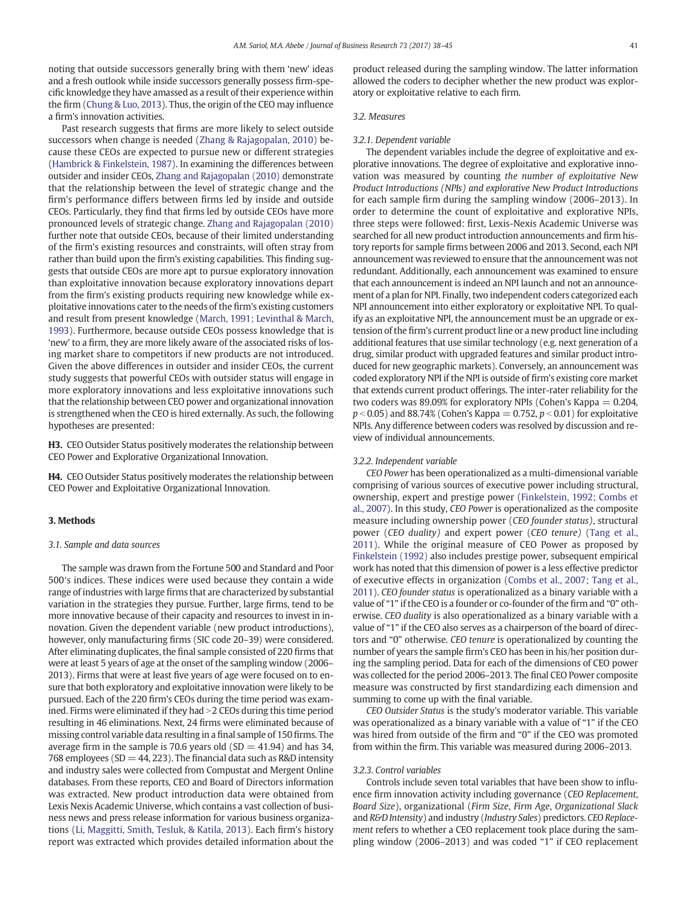<span id="page-3-0"></span>noting that outside successors generally bring with them 'new' ideas and a fresh outlook while inside successors generally possess firm-specific knowledge they have amassed as a result of their experience within the firm [\(Chung & Luo, 2013](#page-7-0)). Thus, the origin of the CEO may influence a firm's innovation activities.

Past research suggests that firms are more likely to select outside successors when change is needed ([Zhang & Rajagopalan, 2010\)](#page-7-0) because these CEOs are expected to pursue new or different strategies [\(Hambrick & Finkelstein, 1987](#page-7-0)). In examining the differences between outsider and insider CEOs, [Zhang and Rajagopalan \(2010\)](#page-7-0) demonstrate that the relationship between the level of strategic change and the firm's performance differs between firms led by inside and outside CEOs. Particularly, they find that firms led by outside CEOs have more pronounced levels of strategic change. [Zhang and Rajagopalan \(2010\)](#page-7-0) further note that outside CEOs, because of their limited understanding of the firm's existing resources and constraints, will often stray from rather than build upon the firm's existing capabilities. This finding suggests that outside CEOs are more apt to pursue exploratory innovation than exploitative innovation because exploratory innovations depart from the firm's existing products requiring new knowledge while exploitative innovations cater to the needs of the firm's existing customers and result from present knowledge ([March, 1991; Levinthal & March,](#page-7-0) [1993\)](#page-7-0). Furthermore, because outside CEOs possess knowledge that is 'new' to a firm, they are more likely aware of the associated risks of losing market share to competitors if new products are not introduced. Given the above differences in outsider and insider CEOs, the current study suggests that powerful CEOs with outsider status will engage in more exploratory innovations and less exploitative innovations such that the relationship between CEO power and organizational innovation is strengthened when the CEO is hired externally. As such, the following hypotheses are presented:

H3. CEO Outsider Status positively moderates the relationship between CEO Power and Explorative Organizational Innovation.

H4. CEO Outsider Status positively moderates the relationship between CEO Power and Exploitative Organizational Innovation.

#### 3. Methods

#### 3.1. Sample and data sources

The sample was drawn from the Fortune 500 and Standard and Poor 500′s indices. These indices were used because they contain a wide range of industries with large firms that are characterized by substantial variation in the strategies they pursue. Further, large firms, tend to be more innovative because of their capacity and resources to invest in innovation. Given the dependent variable (new product introductions), however, only manufacturing firms (SIC code 20–39) were considered. After eliminating duplicates, the final sample consisted of 220 firms that were at least 5 years of age at the onset of the sampling window (2006– 2013). Firms that were at least five years of age were focused on to ensure that both exploratory and exploitative innovation were likely to be pursued. Each of the 220 firm's CEOs during the time period was examined. Firms were eliminated if they had  $>$  2 CEOs during this time period resulting in 46 eliminations. Next, 24 firms were eliminated because of missing control variable data resulting in a final sample of 150 firms. The average firm in the sample is 70.6 years old  $(SD = 41.94)$  and has 34, 768 employees (SD = 44, 223). The financial data such as R&D intensity and industry sales were collected from Compustat and Mergent Online databases. From these reports, CEO and Board of Directors information was extracted. New product introduction data were obtained from Lexis Nexis Academic Universe, which contains a vast collection of business news and press release information for various business organizations ([Li, Maggitti, Smith, Tesluk, & Katila, 2013](#page-7-0)). Each firm's history report was extracted which provides detailed information about the

product released during the sampling window. The latter information allowed the coders to decipher whether the new product was exploratory or exploitative relative to each firm.

#### 3.2. Measures

#### 3.2.1. Dependent variable

The dependent variables include the degree of exploitative and explorative innovations. The degree of exploitative and explorative innovation was measured by counting the number of exploitative New Product Introductions (NPIs) and explorative New Product Introductions for each sample firm during the sampling window (2006–2013). In order to determine the count of exploitative and explorative NPIs, three steps were followed: first, Lexis-Nexis Academic Universe was searched for all new product introduction announcements and firm history reports for sample firms between 2006 and 2013. Second, each NPI announcement was reviewed to ensure that the announcement was not redundant. Additionally, each announcement was examined to ensure that each announcement is indeed an NPI launch and not an announcement of a plan for NPI. Finally, two independent coders categorized each NPI announcement into either exploratory or exploitative NPI. To qualify as an exploitative NPI, the announcement must be an upgrade or extension of the firm's current product line or a new product line including additional features that use similar technology (e.g. next generation of a drug, similar product with upgraded features and similar product introduced for new geographic markets). Conversely, an announcement was coded exploratory NPI if the NPI is outside of firm's existing core market that extends current product offerings. The inter-rater reliability for the two coders was 89.09% for exploratory NPIs (Cohen's Kappa = 0.204,  $p < 0.05$ ) and 88.74% (Cohen's Kappa = 0.752,  $p < 0.01$ ) for exploitative NPIs. Any difference between coders was resolved by discussion and review of individual announcements.

#### 3.2.2. Independent variable

CEO Power has been operationalized as a multi-dimensional variable comprising of various sources of executive power including structural, ownership, expert and prestige power ([Finkelstein, 1992; Combs et](#page-7-0) [al., 2007](#page-7-0)). In this study, CEO Power is operationalized as the composite measure including ownership power (CEO founder status), structural power (CEO duality) and expert power (CEO tenure) [\(Tang et al.,](#page-7-0) [2011\)](#page-7-0). While the original measure of CEO Power as proposed by [Finkelstein \(1992\)](#page-7-0) also includes prestige power, subsequent empirical work has noted that this dimension of power is a less effective predictor of executive effects in organization [\(Combs et al., 2007; Tang et al.,](#page-7-0) [2011](#page-7-0)). CEO founder status is operationalized as a binary variable with a value of "1" if the CEO is a founder or co-founder of the firm and "0" otherwise. CEO duality is also operationalized as a binary variable with a value of "1" if the CEO also serves as a chairperson of the board of directors and "0" otherwise. CEO tenure is operationalized by counting the number of years the sample firm's CEO has been in his/her position during the sampling period. Data for each of the dimensions of CEO power was collected for the period 2006–2013. The final CEO Power composite measure was constructed by first standardizing each dimension and summing to come up with the final variable.

CEO Outsider Status is the study's moderator variable. This variable was operationalized as a binary variable with a value of "1" if the CEO was hired from outside of the firm and "0" if the CEO was promoted from within the firm. This variable was measured during 2006–2013.

#### 3.2.3. Control variables

Controls include seven total variables that have been show to influence firm innovation activity including governance (CEO Replacement, Board Size), organizational (Firm Size, Firm Age, Organizational Slack and R&D Intensity) and industry (Industry Sales) predictors. CEO Replacement refers to whether a CEO replacement took place during the sampling window (2006–2013) and was coded "1" if CEO replacement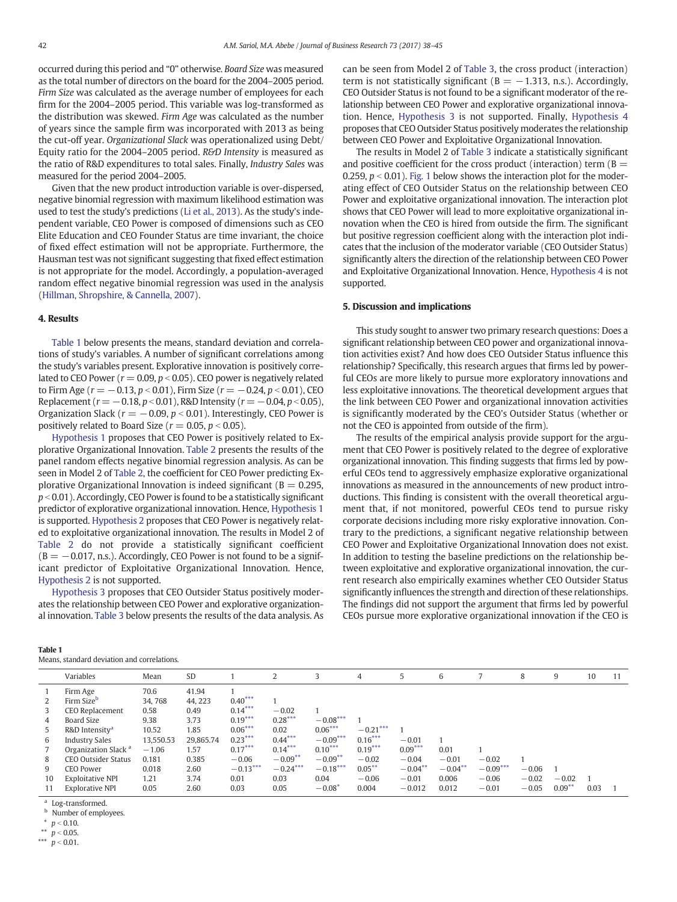occurred during this period and "0" otherwise. Board Size was measured as the total number of directors on the board for the 2004–2005 period. Firm Size was calculated as the average number of employees for each firm for the 2004–2005 period. This variable was log-transformed as the distribution was skewed. Firm Age was calculated as the number of years since the sample firm was incorporated with 2013 as being the cut-off year. Organizational Slack was operationalized using Debt/ Equity ratio for the 2004–2005 period. R&D Intensity is measured as the ratio of R&D expenditures to total sales. Finally, Industry Sales was measured for the period 2004–2005.

Given that the new product introduction variable is over-dispersed, negative binomial regression with maximum likelihood estimation was used to test the study's predictions [\(Li et al., 2013](#page-7-0)). As the study's independent variable, CEO Power is composed of dimensions such as CEO Elite Education and CEO Founder Status are time invariant, the choice of fixed effect estimation will not be appropriate. Furthermore, the Hausman test was not significant suggesting that fixed effect estimation is not appropriate for the model. Accordingly, a population-averaged random effect negative binomial regression was used in the analysis [\(Hillman, Shropshire, & Cannella, 2007](#page-7-0)).

### 4. Results

Table 1 below presents the means, standard deviation and correlations of study's variables. A number of significant correlations among the study's variables present. Explorative innovation is positively correlated to CEO Power ( $r = 0.09$ ,  $p < 0.05$ ). CEO power is negatively related to Firm Age ( $r = -0.13$ ,  $p < 0.01$ ), Firm Size ( $r = -0.24$ ,  $p < 0.01$ ), CEO Replacement ( $r = -0.18$ ,  $p < 0.01$ ), R&D Intensity ( $r = -0.04$ ,  $p < 0.05$ ), Organization Slack ( $r = -0.09$ ,  $p < 0.01$ ). Interestingly, CEO Power is positively related to Board Size ( $r = 0.05$ ,  $p < 0.05$ ).

[Hypothesis 1](#page-2-0) proposes that CEO Power is positively related to Explorative Organizational Innovation. [Table 2](#page-5-0) presents the results of the panel random effects negative binomial regression analysis. As can be seen in Model 2 of [Table 2,](#page-5-0) the coefficient for CEO Power predicting Explorative Organizational Innovation is indeed significant ( $B = 0.295$ ,  $p < 0.01$ ). Accordingly, CEO Power is found to be a statistically significant predictor of explorative organizational innovation. Hence, [Hypothesis 1](#page-2-0) is supported. [Hypothesis 2](#page-2-0) proposes that CEO Power is negatively related to exploitative organizational innovation. The results in Model 2 of [Table 2](#page-5-0) do not provide a statistically significant coefficient  $(B = -0.017, n.s.).$  Accordingly, CEO Power is not found to be a significant predictor of Exploitative Organizational Innovation. Hence, [Hypothesis 2](#page-2-0) is not supported.

[Hypothesis 3](#page-3-0) proposes that CEO Outsider Status positively moderates the relationship between CEO Power and explorative organizational innovation. [Table 3](#page-5-0) below presents the results of the data analysis. As

| Table 1                                     |  |
|---------------------------------------------|--|
| Means, standard deviation and correlations. |  |

can be seen from Model 2 of [Table 3](#page-5-0), the cross product (interaction) term is not statistically significant ( $B = -1.313$ , n.s.). Accordingly, CEO Outsider Status is not found to be a significant moderator of the relationship between CEO Power and explorative organizational innovation. Hence, [Hypothesis 3](#page-3-0) is not supported. Finally, [Hypothesis 4](#page-3-0) proposes that CEO Outsider Status positively moderates the relationship between CEO Power and Exploitative Organizational Innovation.

The results in Model 2 of [Table 3](#page-5-0) indicate a statistically significant and positive coefficient for the cross product (interaction) term  $(B =$ 0.259,  $p < 0.01$ ). [Fig. 1](#page-6-0) below shows the interaction plot for the moderating effect of CEO Outsider Status on the relationship between CEO Power and exploitative organizational innovation. The interaction plot shows that CEO Power will lead to more exploitative organizational innovation when the CEO is hired from outside the firm. The significant but positive regression coefficient along with the interaction plot indicates that the inclusion of the moderator variable (CEO Outsider Status) significantly alters the direction of the relationship between CEO Power and Exploitative Organizational Innovation. Hence, [Hypothesis 4](#page-3-0) is not supported.

### 5. Discussion and implications

This study sought to answer two primary research questions: Does a significant relationship between CEO power and organizational innovation activities exist? And how does CEO Outsider Status influence this relationship? Specifically, this research argues that firms led by powerful CEOs are more likely to pursue more exploratory innovations and less exploitative innovations. The theoretical development argues that the link between CEO Power and organizational innovation activities is significantly moderated by the CEO's Outsider Status (whether or not the CEO is appointed from outside of the firm).

The results of the empirical analysis provide support for the argument that CEO Power is positively related to the degree of explorative organizational innovation. This finding suggests that firms led by powerful CEOs tend to aggressively emphasize explorative organizational innovations as measured in the announcements of new product introductions. This finding is consistent with the overall theoretical argument that, if not monitored, powerful CEOs tend to pursue risky corporate decisions including more risky explorative innovation. Contrary to the predictions, a significant negative relationship between CEO Power and Exploitative Organizational Innovation does not exist. In addition to testing the baseline predictions on the relationship between exploitative and explorative organizational innovation, the current research also empirically examines whether CEO Outsider Status significantly influences the strength and direction of these relationships. The findings did not support the argument that firms led by powerful CEOs pursue more explorative organizational innovation if the CEO is

|    | Variables                       | Mean      | <b>SD</b> |            |            |                      | 4          |            | 6          |            | 8       | 9        | 10   | 11 |
|----|---------------------------------|-----------|-----------|------------|------------|----------------------|------------|------------|------------|------------|---------|----------|------|----|
|    | Firm Age                        | 70.6      | 41.94     |            |            |                      |            |            |            |            |         |          |      |    |
|    | Firm Size <sup>b</sup>          | 34, 768   | 44.223    | $0.40***$  |            |                      |            |            |            |            |         |          |      |    |
|    | CEO Replacement                 | 0.58      | 0.49      | $0.14***$  | $-0.02$    |                      |            |            |            |            |         |          |      |    |
| 4  | Board Size                      | 9.38      | 3.73      | $0.19***$  | $0.28***$  | $-0.08***$           |            |            |            |            |         |          |      |    |
| 5  | R&D Intensity <sup>a</sup>      | 10.52     | 1.85      | $0.06***$  | 0.02       | $0.06***$            | $-0.21***$ |            |            |            |         |          |      |    |
| 6  | <b>Industry Sales</b>           | 13,550.53 | 29.865.74 | $0.23***$  | $0.44***$  | $-0.09***$           | $0.16***$  | $-0.01$    |            |            |         |          |      |    |
|    | Organization Slack <sup>a</sup> | $-1.06$   | 1.57      | $0.17***$  | $0.14***$  | $0.10***$            | $0.19***$  | $0.09***$  | 0.01       |            |         |          |      |    |
| 8  | <b>CEO Outsider Status</b>      | 0.181     | 0.385     | $-0.06$    | $-0.09***$ | $-0.09**$            | $-0.02$    | $-0.04$    | $-0.01$    | $-0.02$    |         |          |      |    |
| 9  | <b>CEO</b> Power                | 0.018     | 2.60      | $-0.13***$ | $-0.24***$ | $-0.18***$           | $0.05***$  | $-0.04***$ | $-0.04***$ | $-0.09***$ | $-0.06$ |          |      |    |
| 10 | <b>Exploitative NPI</b>         | 1.21      | 3.74      | 0.01       | 0.03       | 0.04                 | $-0.06$    | $-0.01$    | 0.006      | $-0.06$    | $-0.02$ | $-0.02$  |      |    |
| 11 | <b>Explorative NPI</b>          | 0.05      | 2.60      | 0.03       | 0.05       | $-0.08$ <sup>*</sup> | 0.004      | $-0.012$   | 0.012      | $-0.01$    | $-0.05$ | $0.09**$ | 0.03 |    |

<sup>a</sup> Log-transformed.

Number of employees.

 $p < 0.10$ .

\*\*  $p < 0.05$ .

\*\*\*  $p < 0.01$ .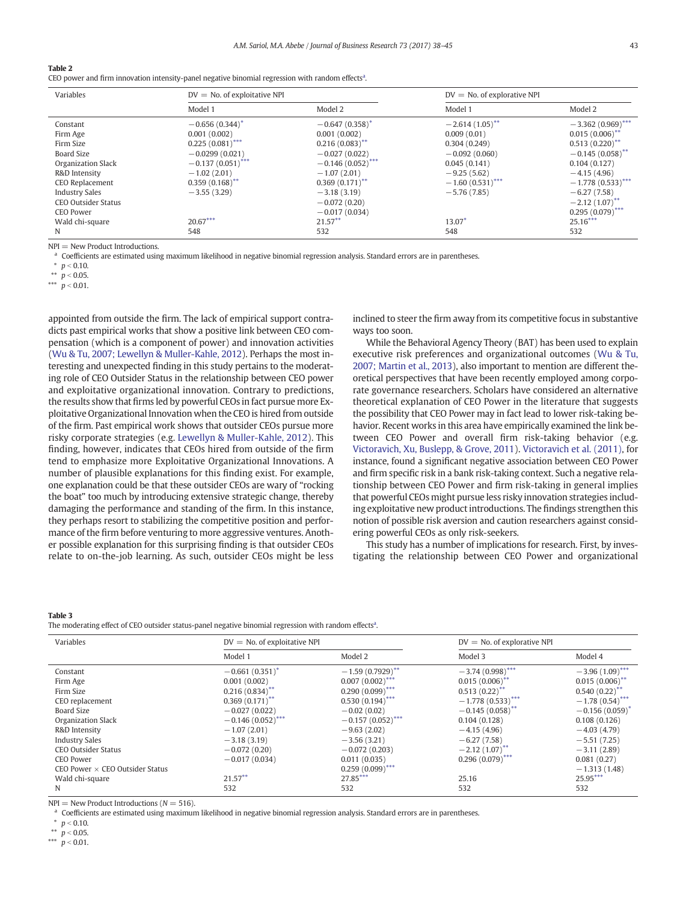#### <span id="page-5-0"></span>Table 2

CEO power and firm innovation intensity-panel negative binomial regression with random effects<sup>a</sup>.

| Variables                                                                                                 | $DV = No$ , of exploitative NPI                                                                                                          |                                                                                                                                                   | $DV = No$ , of explorative NPI                                                                                                        |                                                                                                                                                        |  |
|-----------------------------------------------------------------------------------------------------------|------------------------------------------------------------------------------------------------------------------------------------------|---------------------------------------------------------------------------------------------------------------------------------------------------|---------------------------------------------------------------------------------------------------------------------------------------|--------------------------------------------------------------------------------------------------------------------------------------------------------|--|
|                                                                                                           | Model 1<br>Model 2                                                                                                                       |                                                                                                                                                   | Model 1                                                                                                                               | Model 2                                                                                                                                                |  |
| Constant<br>Firm Age<br>Firm Size<br>Board Size<br>Organization Slack<br>R&D Intensity<br>CEO Replacement | $-0.656(0.344)^*$<br>0.001(0.002)<br>$0.225(0.081)$ ***<br>$-0.0299(0.021)$<br>$-0.137(0.051)$ ***<br>$-1.02(2.01)$<br>$0.359(0.168)$ ** | $-0.647(0.358)^*$<br>0.001(0.002)<br>$0.216(0.083)$ **<br>$-0.027(0.022)$<br>$-0.146(0.052)$ ***<br>$-1.07(2.01)$<br>$0.369(0.171)$ <sup>**</sup> | $-2.614(1.05)$ <sup>**</sup><br>0.009(0.01)<br>0.304(0.249)<br>$-0.092(0.060)$<br>0.045(0.141)<br>$-9.25(5.62)$<br>$-1.60(0.531)$ *** | $-3.362(0.969)$ ***<br>$0.015(0.006)$ **<br>$0.513(0.220)$ **<br>$-0.145(0.058)$ <sup>**</sup><br>0.104(0.127)<br>$-4.15(4.96)$<br>$-1.778(0.533)$ *** |  |
| <b>Industry Sales</b><br>CEO Outsider Status<br>CEO Power<br>Wald chi-square<br>N                         | $-3.55(3.29)$<br>$20.67***$<br>548                                                                                                       | $-3.18(3.19)$<br>$-0.072(0.20)$<br>$-0.017(0.034)$<br>$21.57***$<br>532                                                                           | $-5.76(7.85)$<br>$13.07*$<br>548                                                                                                      | $-6.27(7.58)$<br>$-2.12(1.07)$ <sup>**</sup><br>$0.295(0.079)$ ***<br>$25.16***$<br>532                                                                |  |

NPI = New Product Introductions.

<sup>a</sup> Coefficients are estimated using maximum likelihood in negative binomial regression analysis. Standard errors are in parentheses.

 $p < 0.10$ .

\*\*  $p < 0.05$ .

\*\*\*  $p < 0.01$ .

appointed from outside the firm. The lack of empirical support contradicts past empirical works that show a positive link between CEO compensation (which is a component of power) and innovation activities [\(Wu & Tu, 2007; Lewellyn & Muller-Kahle, 2012\)](#page-7-0). Perhaps the most interesting and unexpected finding in this study pertains to the moderating role of CEO Outsider Status in the relationship between CEO power and exploitative organizational innovation. Contrary to predictions, the results show that firms led by powerful CEOs in fact pursue more Exploitative Organizational Innovation when the CEO is hired from outside of the firm. Past empirical work shows that outsider CEOs pursue more risky corporate strategies (e.g. [Lewellyn & Muller-Kahle, 2012\)](#page-7-0). This finding, however, indicates that CEOs hired from outside of the firm tend to emphasize more Exploitative Organizational Innovations. A number of plausible explanations for this finding exist. For example, one explanation could be that these outsider CEOs are wary of "rocking the boat" too much by introducing extensive strategic change, thereby damaging the performance and standing of the firm. In this instance, they perhaps resort to stabilizing the competitive position and performance of the firm before venturing to more aggressive ventures. Another possible explanation for this surprising finding is that outsider CEOs relate to on-the-job learning. As such, outsider CEOs might be less

inclined to steer the firm away from its competitive focus in substantive ways too soon.

While the Behavioral Agency Theory (BAT) has been used to explain executive risk preferences and organizational outcomes ([Wu & Tu,](#page-7-0) [2007; Martin et al., 2013\)](#page-7-0), also important to mention are different theoretical perspectives that have been recently employed among corporate governance researchers. Scholars have considered an alternative theoretical explanation of CEO Power in the literature that suggests the possibility that CEO Power may in fact lead to lower risk-taking behavior. Recent works in this area have empirically examined the link between CEO Power and overall firm risk-taking behavior (e.g. [Victoravich, Xu, Buslepp, & Grove, 2011\)](#page-7-0). [Victoravich et al. \(2011\)](#page-7-0), for instance, found a significant negative association between CEO Power and firm specific risk in a bank risk-taking context. Such a negative relationship between CEO Power and firm risk-taking in general implies that powerful CEOs might pursue less risky innovation strategies including exploitative new product introductions. The findings strengthen this notion of possible risk aversion and caution researchers against considering powerful CEOs as only risk-seekers.

This study has a number of implications for research. First, by investigating the relationship between CEO Power and organizational

#### Table 3

The moderating effect of CEO outsider status-panel negative binomial regression with random effects<sup>a</sup>.

| Variables                              | $DV = No$ , of exploitative NPI |                               | $DV = No$ , of explorative NPI |                     |  |
|----------------------------------------|---------------------------------|-------------------------------|--------------------------------|---------------------|--|
|                                        | Model 1                         | Model 2                       | Model 3                        | Model 4             |  |
| Constant                               | $-0.661(0.351)^*$               | $-1.59(0.7929)$ <sup>**</sup> | $-3.74(0.998)$ ***             | $-3.96(1.09)$ ***   |  |
| Firm Age                               | 0.001(0.002)                    | $0.007(0.002)$ ***            | $0.015(0.006)$ **              | $0.015(0.006)$ **   |  |
| Firm Size                              | $0.216(0.834)$ **               | $0.290(0.099)$ ***            | $0.513(0.22)$ **               | $0.540(0.22)$ **    |  |
| CEO replacement                        | $0.369(0.171)$ **               | $0.530(0.194)$ ***            | $-1.778(0.533)$ ***            | $-1.78(0.54)$ ***   |  |
| Board Size                             | $-0.027(0.022)$                 | $-0.02(0.02)$                 | $-0.145(0.058)$ **             | $-0.156(0.059)^{*}$ |  |
| Organization Slack                     | $-0.146(0.052)$ ***             | $-0.157(0.052)$ ***           | 0.104(0.128)                   | 0.108(0.126)        |  |
| R&D Intensity                          | $-1.07(2.01)$                   | $-9.63(2.02)$                 | $-4.15(4.96)$                  | $-4.03(4.79)$       |  |
| <b>Industry Sales</b>                  | $-3.18(3.19)$                   | $-3.56(3.21)$                 | $-6.27(7.58)$                  | $-5.51(7.25)$       |  |
| CEO Outsider Status                    | $-0.072(0.20)$                  | $-0.072(0.203)$               | $-2.12(1.07)$ <sup>**</sup>    | $-3.11(2.89)$       |  |
| CEO Power                              | $-0.017(0.034)$                 | 0.011(0.035)                  | $0.296(0.079)$ ***             | 0.081(0.27)         |  |
| CEO Power $\times$ CEO Outsider Status |                                 | $0.259(0.099)$ ***            |                                | $-1.313(1.48)$      |  |
| Wald chi-square                        | $21.57***$                      | 27.85***                      | 25.16                          | 25.95***            |  |
| N                                      | 532                             | 532                           | 532                            | 532                 |  |

 $NPI = New Product Introductions (N = 516).$ 

<sup>a</sup> Coefficients are estimated using maximum likelihood in negative binomial regression analysis. Standard errors are in parentheses.

 $p < 0.10$ .

\*\*  $p < 0.05$ .

\*\*\*  $p < 0.01$ .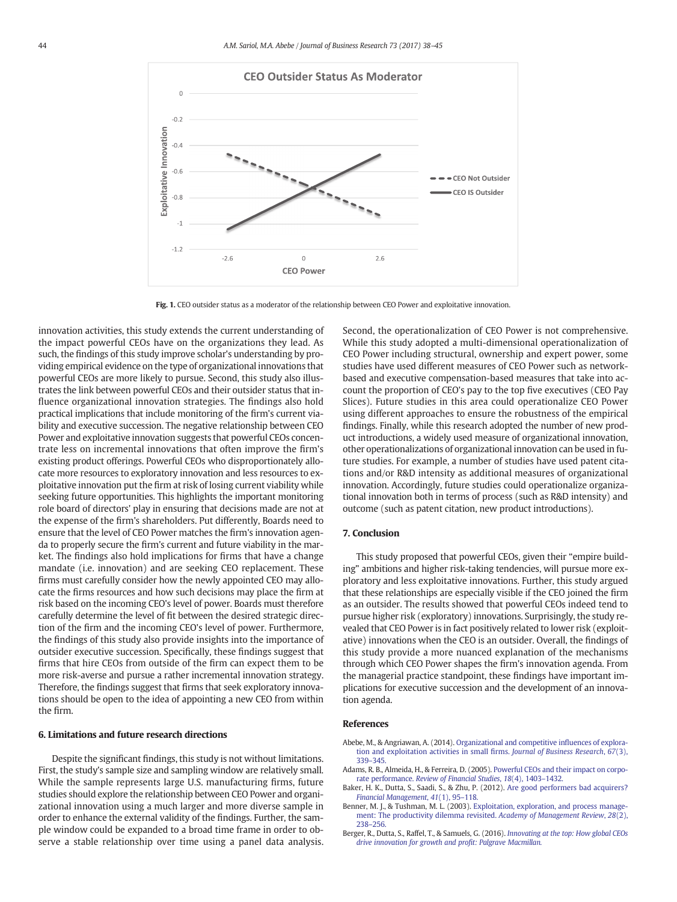<span id="page-6-0"></span>

Fig. 1. CEO outsider status as a moderator of the relationship between CEO Power and exploitative innovation.

innovation activities, this study extends the current understanding of the impact powerful CEOs have on the organizations they lead. As such, the findings of this study improve scholar's understanding by providing empirical evidence on the type of organizational innovations that powerful CEOs are more likely to pursue. Second, this study also illustrates the link between powerful CEOs and their outsider status that influence organizational innovation strategies. The findings also hold practical implications that include monitoring of the firm's current viability and executive succession. The negative relationship between CEO Power and exploitative innovation suggests that powerful CEOs concentrate less on incremental innovations that often improve the firm's existing product offerings. Powerful CEOs who disproportionately allocate more resources to exploratory innovation and less resources to exploitative innovation put the firm at risk of losing current viability while seeking future opportunities. This highlights the important monitoring role board of directors' play in ensuring that decisions made are not at the expense of the firm's shareholders. Put differently, Boards need to ensure that the level of CEO Power matches the firm's innovation agenda to properly secure the firm's current and future viability in the market. The findings also hold implications for firms that have a change mandate (i.e. innovation) and are seeking CEO replacement. These firms must carefully consider how the newly appointed CEO may allocate the firms resources and how such decisions may place the firm at risk based on the incoming CEO's level of power. Boards must therefore carefully determine the level of fit between the desired strategic direction of the firm and the incoming CEO's level of power. Furthermore, the findings of this study also provide insights into the importance of outsider executive succession. Specifically, these findings suggest that firms that hire CEOs from outside of the firm can expect them to be more risk-averse and pursue a rather incremental innovation strategy. Therefore, the findings suggest that firms that seek exploratory innovations should be open to the idea of appointing a new CEO from within the firm.

#### 6. Limitations and future research directions

Despite the significant findings, this study is not without limitations. First, the study's sample size and sampling window are relatively small. While the sample represents large U.S. manufacturing firms, future studies should explore the relationship between CEO Power and organizational innovation using a much larger and more diverse sample in order to enhance the external validity of the findings. Further, the sample window could be expanded to a broad time frame in order to observe a stable relationship over time using a panel data analysis. Second, the operationalization of CEO Power is not comprehensive. While this study adopted a multi-dimensional operationalization of CEO Power including structural, ownership and expert power, some studies have used different measures of CEO Power such as networkbased and executive compensation-based measures that take into account the proportion of CEO's pay to the top five executives (CEO Pay Slices). Future studies in this area could operationalize CEO Power using different approaches to ensure the robustness of the empirical findings. Finally, while this research adopted the number of new product introductions, a widely used measure of organizational innovation, other operationalizations of organizational innovation can be used in future studies. For example, a number of studies have used patent citations and/or R&D intensity as additional measures of organizational innovation. Accordingly, future studies could operationalize organizational innovation both in terms of process (such as R&D intensity) and outcome (such as patent citation, new product introductions).

#### 7. Conclusion

This study proposed that powerful CEOs, given their "empire building" ambitions and higher risk-taking tendencies, will pursue more exploratory and less exploitative innovations. Further, this study argued that these relationships are especially visible if the CEO joined the firm as an outsider. The results showed that powerful CEOs indeed tend to pursue higher risk (exploratory) innovations. Surprisingly, the study revealed that CEO Power is in fact positively related to lower risk (exploitative) innovations when the CEO is an outsider. Overall, the findings of this study provide a more nuanced explanation of the mechanisms through which CEO Power shapes the firm's innovation agenda. From the managerial practice standpoint, these findings have important implications for executive succession and the development of an innovation agenda.

#### **References**

- Abebe, M., & Angriawan, A. (2014). [Organizational and competitive in](http://refhub.elsevier.com/S0148-2963(16)30653-1/rf0005)fluences of explora[tion and exploitation activities in small](http://refhub.elsevier.com/S0148-2963(16)30653-1/rf0005) firms. Journal of Business Research, 67(3), 339–[345.](http://refhub.elsevier.com/S0148-2963(16)30653-1/rf0005)
- Adams, R. B., Almeida, H., & Ferreira, D. (2005). [Powerful CEOs and their impact on corpo](http://refhub.elsevier.com/S0148-2963(16)30653-1/rf0010)rate performance. [Review of Financial Studies](http://refhub.elsevier.com/S0148-2963(16)30653-1/rf0010), 18(4), 1403–1432.
- Baker, H. K., Dutta, S., Saadi, S., & Zhu, P. (2012). [Are good performers bad acquirers?](http://refhub.elsevier.com/S0148-2963(16)30653-1/rf0015) [Financial Management](http://refhub.elsevier.com/S0148-2963(16)30653-1/rf0015), 41(1), 95–118.
- Benner, M. J., & Tushman, M. L. (2003). [Exploitation, exploration, and process manage](http://refhub.elsevier.com/S0148-2963(16)30653-1/rf0025)[ment: The productivity dilemma revisited.](http://refhub.elsevier.com/S0148-2963(16)30653-1/rf0025) Academy of Management Review, 28(2), 238–[256.](http://refhub.elsevier.com/S0148-2963(16)30653-1/rf0025)
- Berger, R., Dutta, S., Raffel, T., & Samuels, G. (2016). [Innovating at the top: How global CEOs](http://refhub.elsevier.com/S0148-2963(16)30653-1/rf0030) [drive innovation for growth and pro](http://refhub.elsevier.com/S0148-2963(16)30653-1/rf0030)fit: Palgrave Macmillan.